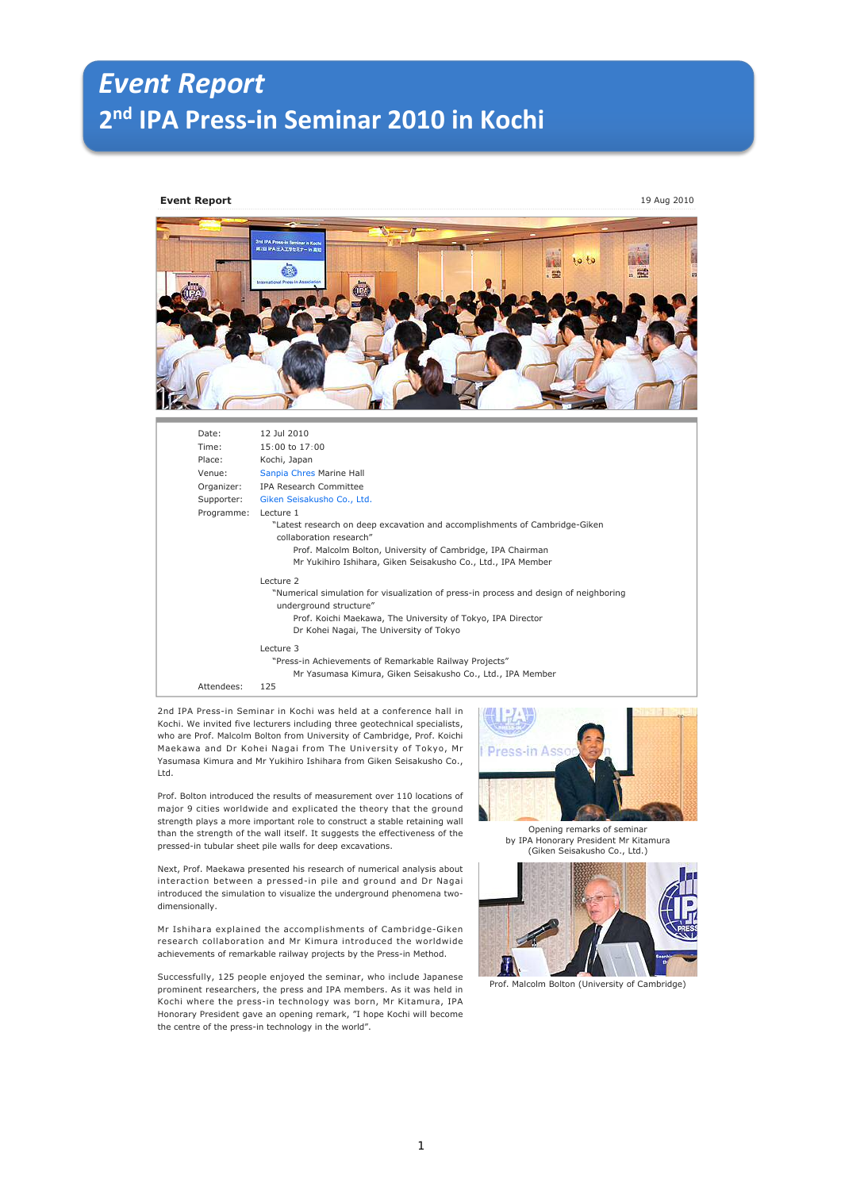## *Event Report* **2 nd IPA Press-in Seminar 2010 in Kochi**

## **Event Report** 19 Aug 2010



| 12 Jul 2010<br>Date:                                                                  |  |
|---------------------------------------------------------------------------------------|--|
| Time:<br>$15:00$ to $17:00$                                                           |  |
| Place:<br>Kochi, Japan                                                                |  |
| Venue:<br>Sanpia Chres Marine Hall                                                    |  |
| IPA Research Committee<br>Organizer:                                                  |  |
| Supporter:<br>Giken Seisakusho Co., Ltd.                                              |  |
| Programme:<br>Lecture 1                                                               |  |
| "Latest research on deep excavation and accomplishments of Cambridge-Giken            |  |
| collaboration research"                                                               |  |
| Prof. Malcolm Bolton, University of Cambridge, IPA Chairman                           |  |
| Mr Yukihiro Ishihara, Giken Seisakusho Co., Ltd., IPA Member                          |  |
| Lecture 2                                                                             |  |
| "Numerical simulation for visualization of press-in process and design of neighboring |  |
| underground structure"                                                                |  |
| Prof. Koichi Maekawa, The University of Tokyo, IPA Director                           |  |
| Dr Kohei Nagai, The University of Tokyo                                               |  |
| Lecture 3                                                                             |  |
| "Press-in Achievements of Remarkable Railway Projects"                                |  |
| Mr Yasumasa Kimura, Giken Seisakusho Co., Ltd., IPA Member                            |  |
| Attendees:<br>125                                                                     |  |

2nd IPA Press-in Seminar in Kochi was held at a conference hall in Kochi. We invited five lecturers including three geotechnical specialists, who are Prof. Malcolm Bolton from University of Cambridge, Prof. Koichi Maekawa and Dr Kohei Nagai from The University of Tokyo, Mr Yasumasa Kimura and Mr Yukihiro Ishihara from Giken Seisakusho Co., Ltd.

Prof. Bolton introduced the results of measurement over 110 locations of major 9 cities worldwide and explicated the theory that the ground strength plays a more important role to construct a stable retaining wall than the strength of the wall itself. It suggests the effectiveness of the pressed-in tubular sheet pile walls for deep excavations.

Next, Prof. Maekawa presented his research of numerical analysis about interaction between a pressed-in pile and ground and Dr Nagai introduced the simulation to visualize the underground phenomena twodimensionally.

Mr Ishihara explained the accomplishments of Cambridge-Giken research collaboration and Mr Kimura introduced the worldwide achievements of remarkable railway projects by the Press-in Method.

Successfully, 125 people enjoyed the seminar, who include Japanese prominent researchers, the press and IPA members. As it was held in Kochi where the press-in technology was born, Mr Kitamura, IPA Honorary President gave an opening remark, "I hope Kochi will become the centre of the press-in technology in the world".



Opening remarks of seminar by IPA Honorary President Mr Kitamura (Giken Seisakusho Co., Ltd.)



Prof. Malcolm Bolton (University of Cambridge)